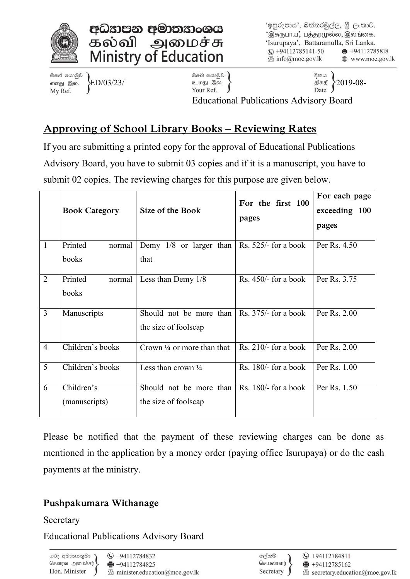



'ඉසුරුපාය', බත්තරමුල්ල, ශීු ලංකාව. 'இசுருபாய, பத்தரமுல்ல, இலங்கை. 'Isurupaya', Battaramulla, Sri Lanka.  $\textcircled{c}$  +94112785141-50  $\bigoplus$  +94112785818  $\mathbb{R}$  info@moe.gov.lk ⊕ www.moe.gov.lk

මගේ යොමුව எனது இல. My Ref.

ඔබේ යොමුව )  $\left\{\text{ED}/03/23/\right. \qquad \qquad \left\{\text{2019-08-}\right. \qquad \qquad \text{Your Ref.} \qquad \qquad \right\}$ 

දිනය

Educational Publications Advisory Board

# **Approving of School Library Books – Reviewing Rates**

If you are submitting a printed copy for the approval of Educational Publications Advisory Board, you have to submit 03 copies and if it is a manuscript, you have to submit 02 copies. The reviewing charges for this purpose are given below.

|                | <b>Book Category</b> | Size of the Book                                     | For the first 100<br>pages | For each page<br>exceeding 100<br>pages |
|----------------|----------------------|------------------------------------------------------|----------------------------|-----------------------------------------|
| $\mathbf{1}$   | Printed<br>normal    | Demy $1/8$ or larger than                            | Rs. $525/-$ for a book     | Per Rs. 4.50                            |
|                | books                | that                                                 |                            |                                         |
| $\overline{2}$ | Printed<br>normal    | Less than Demy 1/8                                   | Rs. $450/-$ for a book     | Per Rs. 3.75                            |
|                | books                |                                                      |                            |                                         |
| $\overline{3}$ | Manuscripts          | Should not be more than $\vert$ Rs. 375/- for a book |                            | Per Rs. 2.00                            |
|                |                      | the size of foolscap                                 |                            |                                         |
| $\overline{4}$ | Children's books     | Crown $\frac{1}{4}$ or more than that                | Rs. $210/-$ for a book     | Per Rs. 2.00                            |
| 5              | Children's books     | Less than crown $\frac{1}{4}$                        | Rs. $180/-$ for a book     | Per Rs. 1.00                            |
| 6              | Children's           | Should not be more than                              | Rs. $180/-$ for a book     | Per Rs. 1.50                            |
|                | (manuscripts)        | the size of foolscap                                 |                            |                                         |

Please be notified that the payment of these reviewing charges can be done as mentioned in the application by a money order (paying office Isurupaya) or do the cash payments at the ministry.

## **Pushpakumara Withanage**

Secretary

Educational Publications Advisory Board

ගරු අමාතානුමා கௌர்வ அமைச்சர் Hon. Minister

 $\textcircled{}$  +94112784811  $+94112785162$ 

Secretary.education@moe.gov.lk